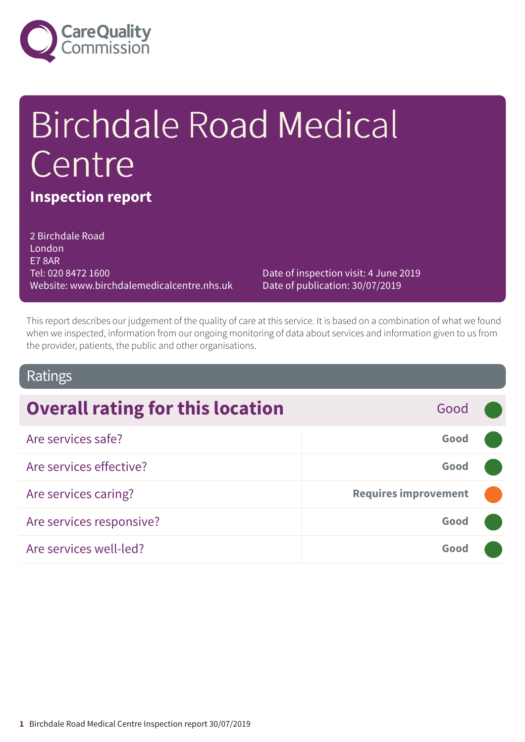

# Birchdale Road Medical Centre

# **Inspection report**

2 Birchdale Road London E7 8AR Tel: 020 8472 1600 Website: www.birchdalemedicalcentre.nhs.uk

Date of inspection visit: 4 June 2019 Date of publication: 30/07/2019

This report describes our judgement of the quality of care at this service. It is based on a combination of what we found when we inspected, information from our ongoing monitoring of data about services and information given to us from the provider, patients, the public and other organisations.

## Ratings

| <b>Overall rating for this location</b> | Good                        |  |
|-----------------------------------------|-----------------------------|--|
| Are services safe?                      | Good                        |  |
| Are services effective?                 | Good                        |  |
| Are services caring?                    | <b>Requires improvement</b> |  |
| Are services responsive?                | Good                        |  |
| Are services well-led?                  | Good                        |  |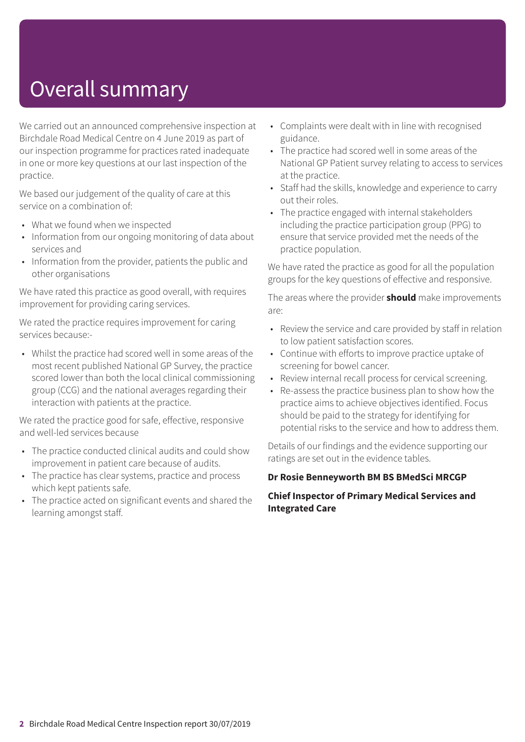# Overall summary

We carried out an announced comprehensive inspection at Birchdale Road Medical Centre on 4 June 2019 as part of our inspection programme for practices rated inadequate in one or more key questions at our last inspection of the practice.

We based our judgement of the quality of care at this service on a combination of:

- What we found when we inspected
- Information from our ongoing monitoring of data about services and
- Information from the provider, patients the public and other organisations

We have rated this practice as good overall, with requires improvement for providing caring services.

We rated the practice requires improvement for caring services because:-

• Whilst the practice had scored well in some areas of the most recent published National GP Survey, the practice scored lower than both the local clinical commissioning group (CCG) and the national averages regarding their interaction with patients at the practice.

We rated the practice good for safe, effective, responsive and well-led services because

- The practice conducted clinical audits and could show improvement in patient care because of audits.
- The practice has clear systems, practice and process which kept patients safe.
- The practice acted on significant events and shared the learning amongst staff.
- Complaints were dealt with in line with recognised guidance.
- The practice had scored well in some areas of the National GP Patient survey relating to access to services at the practice.
- Staff had the skills, knowledge and experience to carry out their roles.
- The practice engaged with internal stakeholders including the practice participation group (PPG) to ensure that service provided met the needs of the practice population.

We have rated the practice as good for all the population groups for the key questions of effective and responsive.

The areas where the provider **should** make improvements are:

- Review the service and care provided by staff in relation to low patient satisfaction scores.
- Continue with efforts to improve practice uptake of screening for bowel cancer.
- Review internal recall process for cervical screening.
- Re-assess the practice business plan to show how the practice aims to achieve objectives identified. Focus should be paid to the strategy for identifying for potential risks to the service and how to address them.

Details of our findings and the evidence supporting our ratings are set out in the evidence tables.

#### **Dr Rosie Benneyworth BM BS BMedSci MRCGP**

#### **Chief Inspector of Primary Medical Services and Integrated Care**